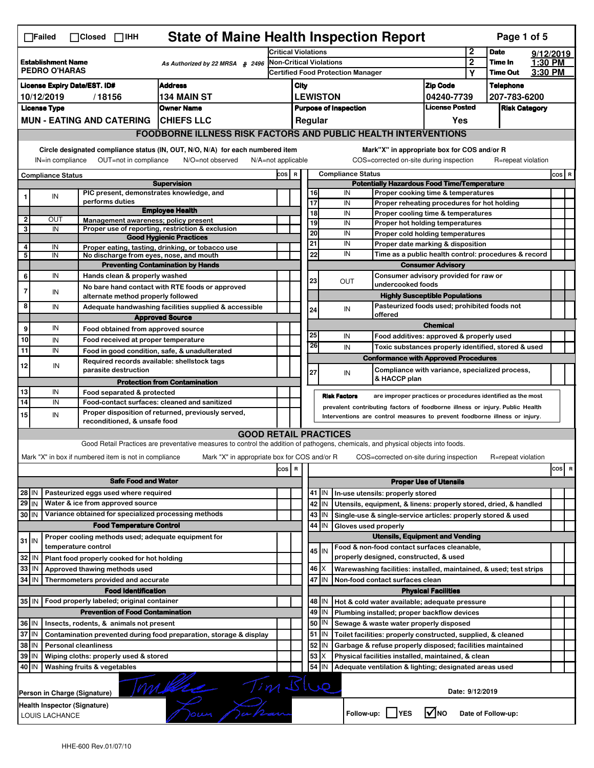|                                                                                      | <b>State of Maine Health Inspection Report</b><br>Page 1 of 5<br>$\Box$ Failed<br>$\Box$ Closed $\Box$ IHH                                                                |                                                                                                                                                                                                                  |                                                                                                                                    |                                                                                                                                   |       |                                                                                        |          |                                                    |                                                                                         |                                       |  |                    |  |          |
|--------------------------------------------------------------------------------------|---------------------------------------------------------------------------------------------------------------------------------------------------------------------------|------------------------------------------------------------------------------------------------------------------------------------------------------------------------------------------------------------------|------------------------------------------------------------------------------------------------------------------------------------|-----------------------------------------------------------------------------------------------------------------------------------|-------|----------------------------------------------------------------------------------------|----------|----------------------------------------------------|-----------------------------------------------------------------------------------------|---------------------------------------|--|--------------------|--|----------|
|                                                                                      |                                                                                                                                                                           |                                                                                                                                                                                                                  |                                                                                                                                    | <b>Critical Violations</b>                                                                                                        |       |                                                                                        |          |                                                    | $\mathbf 2$                                                                             | <b>Date</b>                           |  | 9/12/2019          |  |          |
| <b>Establishment Name</b><br>As Authorized by 22 MRSA § 2496<br><b>PEDRO O'HARAS</b> |                                                                                                                                                                           |                                                                                                                                                                                                                  | <b>Non-Critical Violations</b><br><b>Certified Food Protection Manager</b>                                                         |                                                                                                                                   |       |                                                                                        |          | $\mathbf{2}$<br>Υ                                  | Time In<br><b>Time Out</b>                                                              | 1:30 PM<br>3:30 PM                    |  |                    |  |          |
|                                                                                      |                                                                                                                                                                           |                                                                                                                                                                                                                  |                                                                                                                                    |                                                                                                                                   |       |                                                                                        |          |                                                    |                                                                                         |                                       |  |                    |  |          |
| <b>Address</b><br><b>License Expiry Date/EST. ID#</b><br>10/12/2019                  |                                                                                                                                                                           |                                                                                                                                                                                                                  |                                                                                                                                    | <b>Zip Code</b><br>City                                                                                                           |       |                                                                                        |          |                                                    | <b>Telephone</b>                                                                        |                                       |  |                    |  |          |
|                                                                                      | <b>License Type</b>                                                                                                                                                       |                                                                                                                                                                                                                  | /18156                                                                                                                             | <b>134 MAIN ST</b><br><b>Owner Name</b>                                                                                           |       | <b>LEWISTON</b><br>04240-7739<br><b>License Posted</b><br><b>Purpose of Inspection</b> |          |                                                    |                                                                                         | 207-783-6200<br><b>Risk Category</b>  |  |                    |  |          |
|                                                                                      |                                                                                                                                                                           |                                                                                                                                                                                                                  | <b>MUN - EATING AND CATERING</b>                                                                                                   | <b>CHIEFS LLC</b>                                                                                                                 |       | Regular<br>Yes                                                                         |          |                                                    |                                                                                         |                                       |  |                    |  |          |
|                                                                                      |                                                                                                                                                                           |                                                                                                                                                                                                                  |                                                                                                                                    |                                                                                                                                   |       |                                                                                        |          |                                                    |                                                                                         |                                       |  |                    |  |          |
|                                                                                      | <b>FOODBORNE ILLNESS RISK FACTORS AND PUBLIC HEALTH INTERVENTIONS</b>                                                                                                     |                                                                                                                                                                                                                  |                                                                                                                                    |                                                                                                                                   |       |                                                                                        |          |                                                    |                                                                                         |                                       |  |                    |  |          |
|                                                                                      | Circle designated compliance status (IN, OUT, N/O, N/A) for each numbered item<br>OUT=not in compliance<br>N/O=not observed<br>IN=in compliance<br>$N/A = not$ applicable |                                                                                                                                                                                                                  |                                                                                                                                    |                                                                                                                                   |       |                                                                                        |          |                                                    | Mark"X" in appropriate box for COS and/or R<br>COS=corrected on-site during inspection  |                                       |  | R=repeat violation |  |          |
|                                                                                      | <b>Compliance Status</b>                                                                                                                                                  |                                                                                                                                                                                                                  |                                                                                                                                    |                                                                                                                                   | COS R |                                                                                        |          |                                                    | <b>Compliance Status</b>                                                                |                                       |  |                    |  | $cos$ R  |
|                                                                                      |                                                                                                                                                                           |                                                                                                                                                                                                                  |                                                                                                                                    | <b>Supervision</b>                                                                                                                |       |                                                                                        |          | <b>Potentially Hazardous Food Time/Temperature</b> |                                                                                         |                                       |  |                    |  |          |
|                                                                                      | IN                                                                                                                                                                        |                                                                                                                                                                                                                  | PIC present, demonstrates knowledge, and<br>performs duties                                                                        |                                                                                                                                   |       |                                                                                        | 16<br>17 |                                                    | IN<br>Proper cooking time & temperatures<br>IN                                          |                                       |  |                    |  |          |
|                                                                                      |                                                                                                                                                                           |                                                                                                                                                                                                                  |                                                                                                                                    | <b>Employee Health</b>                                                                                                            |       |                                                                                        | 18       |                                                    | Proper reheating procedures for hot holding<br>IN<br>Proper cooling time & temperatures |                                       |  |                    |  |          |
| $\overline{\mathbf{2}}$                                                              | Ουτ                                                                                                                                                                       |                                                                                                                                                                                                                  | Management awareness: policy present                                                                                               |                                                                                                                                   |       |                                                                                        | 19       |                                                    | IN<br>Proper hot holding temperatures                                                   |                                       |  |                    |  |          |
| 3                                                                                    | IN                                                                                                                                                                        |                                                                                                                                                                                                                  |                                                                                                                                    | Proper use of reporting, restriction & exclusion                                                                                  |       |                                                                                        | 20       |                                                    | IN<br>Proper cold holding temperatures                                                  |                                       |  |                    |  |          |
| 4                                                                                    | IN                                                                                                                                                                        |                                                                                                                                                                                                                  |                                                                                                                                    | <b>Good Hygienic Practices</b>                                                                                                    |       |                                                                                        | 21       |                                                    | IN<br>Proper date marking & disposition                                                 |                                       |  |                    |  |          |
| 5                                                                                    | IN                                                                                                                                                                        |                                                                                                                                                                                                                  | No discharge from eyes, nose, and mouth                                                                                            | Proper eating, tasting, drinking, or tobacco use                                                                                  |       |                                                                                        | 22       |                                                    | IN<br>Time as a public health control: procedures & record                              |                                       |  |                    |  |          |
|                                                                                      |                                                                                                                                                                           |                                                                                                                                                                                                                  |                                                                                                                                    | <b>Preventing Contamination by Hands</b>                                                                                          |       |                                                                                        |          |                                                    |                                                                                         | <b>Consumer Advisory</b>              |  |                    |  |          |
| 6                                                                                    | IN                                                                                                                                                                        |                                                                                                                                                                                                                  | Hands clean & properly washed                                                                                                      |                                                                                                                                   |       |                                                                                        | 23       |                                                    | Consumer advisory provided for raw or                                                   |                                       |  |                    |  |          |
| $\overline{7}$                                                                       |                                                                                                                                                                           |                                                                                                                                                                                                                  |                                                                                                                                    | No bare hand contact with RTE foods or approved                                                                                   |       |                                                                                        |          |                                                    | <b>OUT</b><br>undercooked foods                                                         |                                       |  |                    |  |          |
|                                                                                      | IN                                                                                                                                                                        |                                                                                                                                                                                                                  | alternate method properly followed                                                                                                 |                                                                                                                                   |       |                                                                                        |          |                                                    |                                                                                         | <b>Highly Susceptible Populations</b> |  |                    |  |          |
| 8                                                                                    | IN                                                                                                                                                                        |                                                                                                                                                                                                                  |                                                                                                                                    | Adequate handwashing facilities supplied & accessible                                                                             |       |                                                                                        | 24       |                                                    | Pasteurized foods used; prohibited foods not<br>IN<br>offered                           |                                       |  |                    |  |          |
|                                                                                      |                                                                                                                                                                           |                                                                                                                                                                                                                  |                                                                                                                                    | <b>Approved Source</b>                                                                                                            |       |                                                                                        |          |                                                    |                                                                                         | <b>Chemical</b>                       |  |                    |  |          |
| 9                                                                                    | IN                                                                                                                                                                        |                                                                                                                                                                                                                  | Food obtained from approved source                                                                                                 |                                                                                                                                   |       |                                                                                        | 25       |                                                    | IN<br>Food additives: approved & properly used                                          |                                       |  |                    |  |          |
| 10                                                                                   | IN                                                                                                                                                                        |                                                                                                                                                                                                                  | Food received at proper temperature                                                                                                |                                                                                                                                   |       |                                                                                        | 26       |                                                    | IN<br>Toxic substances properly identified, stored & used                               |                                       |  |                    |  |          |
| 11                                                                                   | IN                                                                                                                                                                        |                                                                                                                                                                                                                  | Food in good condition, safe, & unadulterated                                                                                      |                                                                                                                                   |       |                                                                                        |          |                                                    | <b>Conformance with Approved Procedures</b>                                             |                                       |  |                    |  |          |
| 12                                                                                   | IN                                                                                                                                                                        |                                                                                                                                                                                                                  | Required records available: shellstock tags<br>parasite destruction                                                                |                                                                                                                                   |       |                                                                                        | 27       |                                                    | Compliance with variance, specialized process,                                          |                                       |  |                    |  |          |
|                                                                                      |                                                                                                                                                                           |                                                                                                                                                                                                                  |                                                                                                                                    | <b>Protection from Contamination</b>                                                                                              |       |                                                                                        |          |                                                    | IN<br>& HACCP plan                                                                      |                                       |  |                    |  |          |
| 13                                                                                   | IN                                                                                                                                                                        |                                                                                                                                                                                                                  | Food separated & protected                                                                                                         |                                                                                                                                   |       |                                                                                        |          |                                                    |                                                                                         |                                       |  |                    |  |          |
| 14                                                                                   | IN                                                                                                                                                                        |                                                                                                                                                                                                                  | <b>Risk Factors</b><br>are improper practices or procedures identified as the most<br>Food-contact surfaces: cleaned and sanitized |                                                                                                                                   |       |                                                                                        |          |                                                    |                                                                                         |                                       |  |                    |  |          |
| 15                                                                                   | IN                                                                                                                                                                        | prevalent contributing factors of foodborne illness or injury. Public Health<br>Proper disposition of returned, previously served,<br>Interventions are control measures to prevent foodborne illness or injury. |                                                                                                                                    |                                                                                                                                   |       |                                                                                        |          |                                                    |                                                                                         |                                       |  |                    |  |          |
|                                                                                      |                                                                                                                                                                           |                                                                                                                                                                                                                  | reconditioned, & unsafe food                                                                                                       |                                                                                                                                   |       |                                                                                        |          |                                                    |                                                                                         |                                       |  |                    |  |          |
|                                                                                      |                                                                                                                                                                           |                                                                                                                                                                                                                  |                                                                                                                                    | <b>GOOD RETAIL PRACTICES</b>                                                                                                      |       |                                                                                        |          |                                                    |                                                                                         |                                       |  |                    |  |          |
|                                                                                      |                                                                                                                                                                           |                                                                                                                                                                                                                  |                                                                                                                                    | Good Retail Practices are preventative measures to control the addition of pathogens, chemicals, and physical objects into foods. |       |                                                                                        |          |                                                    |                                                                                         |                                       |  |                    |  |          |
|                                                                                      |                                                                                                                                                                           |                                                                                                                                                                                                                  | Mark "X" in box if numbered item is not in compliance                                                                              | Mark "X" in appropriate box for COS and/or R                                                                                      |       |                                                                                        |          |                                                    | COS=corrected on-site during inspection                                                 |                                       |  | R=repeat violation |  |          |
|                                                                                      |                                                                                                                                                                           |                                                                                                                                                                                                                  |                                                                                                                                    |                                                                                                                                   | cos R |                                                                                        |          |                                                    |                                                                                         |                                       |  |                    |  | cos<br>R |
|                                                                                      |                                                                                                                                                                           |                                                                                                                                                                                                                  | <b>Safe Food and Water</b>                                                                                                         |                                                                                                                                   |       |                                                                                        |          |                                                    |                                                                                         | <b>Proper Use of Utensils</b>         |  |                    |  |          |
| 28 IN                                                                                |                                                                                                                                                                           |                                                                                                                                                                                                                  | Pasteurized eggs used where required                                                                                               |                                                                                                                                   |       |                                                                                        |          | 41   IN                                            | In-use utensils: properly stored                                                        |                                       |  |                    |  |          |
| $29$ IN                                                                              |                                                                                                                                                                           |                                                                                                                                                                                                                  | Water & ice from approved source                                                                                                   |                                                                                                                                   |       |                                                                                        |          | 42 IN                                              | Utensils, equipment, & linens: properly stored, dried, & handled                        |                                       |  |                    |  |          |
| 30 IN                                                                                |                                                                                                                                                                           |                                                                                                                                                                                                                  | Variance obtained for specialized processing methods                                                                               |                                                                                                                                   |       |                                                                                        |          | 43 IN                                              | Single-use & single-service articles: properly stored & used                            |                                       |  |                    |  |          |
|                                                                                      |                                                                                                                                                                           |                                                                                                                                                                                                                  | <b>Food Temperature Control</b>                                                                                                    |                                                                                                                                   |       |                                                                                        | 44       | IN                                                 | Gloves used properly                                                                    |                                       |  |                    |  |          |
| 31 IN                                                                                |                                                                                                                                                                           |                                                                                                                                                                                                                  | Proper cooling methods used; adequate equipment for                                                                                |                                                                                                                                   |       |                                                                                        |          |                                                    | <b>Utensils, Equipment and Vending</b>                                                  |                                       |  |                    |  |          |
|                                                                                      |                                                                                                                                                                           |                                                                                                                                                                                                                  | temperature control                                                                                                                |                                                                                                                                   |       |                                                                                        |          | $45$ IN                                            | Food & non-food contact surfaces cleanable,                                             |                                       |  |                    |  |          |
| 32                                                                                   | IN                                                                                                                                                                        |                                                                                                                                                                                                                  | Plant food properly cooked for hot holding                                                                                         |                                                                                                                                   |       |                                                                                        |          |                                                    | properly designed, constructed, & used                                                  |                                       |  |                    |  |          |
| 33                                                                                   | IN                                                                                                                                                                        |                                                                                                                                                                                                                  | Approved thawing methods used                                                                                                      |                                                                                                                                   |       |                                                                                        |          | $46 \times$                                        | Warewashing facilities: installed, maintained, & used; test strips                      |                                       |  |                    |  |          |
| 34                                                                                   | I IN                                                                                                                                                                      |                                                                                                                                                                                                                  | Thermometers provided and accurate                                                                                                 |                                                                                                                                   |       |                                                                                        |          | 47 I IN                                            | Non-food contact surfaces clean                                                         |                                       |  |                    |  |          |
|                                                                                      |                                                                                                                                                                           |                                                                                                                                                                                                                  | <b>Food Identification</b>                                                                                                         |                                                                                                                                   |       |                                                                                        |          |                                                    |                                                                                         | <b>Physical Facilities</b>            |  |                    |  |          |
|                                                                                      |                                                                                                                                                                           |                                                                                                                                                                                                                  | 35 IN   Food properly labeled; original container                                                                                  |                                                                                                                                   |       |                                                                                        |          | 48   IN                                            | Hot & cold water available; adequate pressure                                           |                                       |  |                    |  |          |
|                                                                                      |                                                                                                                                                                           |                                                                                                                                                                                                                  | <b>Prevention of Food Contamination</b>                                                                                            |                                                                                                                                   |       |                                                                                        | 49       | IN                                                 | Plumbing installed; proper backflow devices                                             |                                       |  |                    |  |          |
| 36 IN                                                                                |                                                                                                                                                                           |                                                                                                                                                                                                                  | Insects, rodents, & animals not present                                                                                            |                                                                                                                                   |       |                                                                                        | 50       | IN                                                 | Sewage & waste water properly disposed                                                  |                                       |  |                    |  |          |
| 37 IN                                                                                |                                                                                                                                                                           |                                                                                                                                                                                                                  |                                                                                                                                    | Contamination prevented during food preparation, storage & display                                                                |       |                                                                                        |          | $51$ $\vert$ IN                                    | Toilet facilities: properly constructed, supplied, & cleaned                            |                                       |  |                    |  |          |
| 38                                                                                   | ΙM                                                                                                                                                                        |                                                                                                                                                                                                                  | <b>Personal cleanliness</b>                                                                                                        |                                                                                                                                   |       |                                                                                        |          | 52<br>ΙN                                           | Garbage & refuse properly disposed; facilities maintained                               |                                       |  |                    |  |          |
| 39                                                                                   | ΙM                                                                                                                                                                        |                                                                                                                                                                                                                  | Wiping cloths: properly used & stored                                                                                              |                                                                                                                                   |       |                                                                                        | 53       | X                                                  | Physical facilities installed, maintained, & clean                                      |                                       |  |                    |  |          |
| 40 IN                                                                                |                                                                                                                                                                           |                                                                                                                                                                                                                  | Washing fruits & vegetables                                                                                                        |                                                                                                                                   |       |                                                                                        | 54       | IN                                                 | Adequate ventilation & lighting; designated areas used                                  |                                       |  |                    |  |          |
|                                                                                      | mille Tim Blue<br>Date: 9/12/2019<br>Person in Charge (Signature)                                                                                                         |                                                                                                                                                                                                                  |                                                                                                                                    |                                                                                                                                   |       |                                                                                        |          |                                                    |                                                                                         |                                       |  |                    |  |          |
|                                                                                      | Health Inspector (Signature)<br>Follow-up: YES<br>$\sqrt{N}$ NO<br>Date of Follow-up:<br>LOUIS LACHANCE                                                                   |                                                                                                                                                                                                                  |                                                                                                                                    |                                                                                                                                   |       |                                                                                        |          |                                                    |                                                                                         |                                       |  |                    |  |          |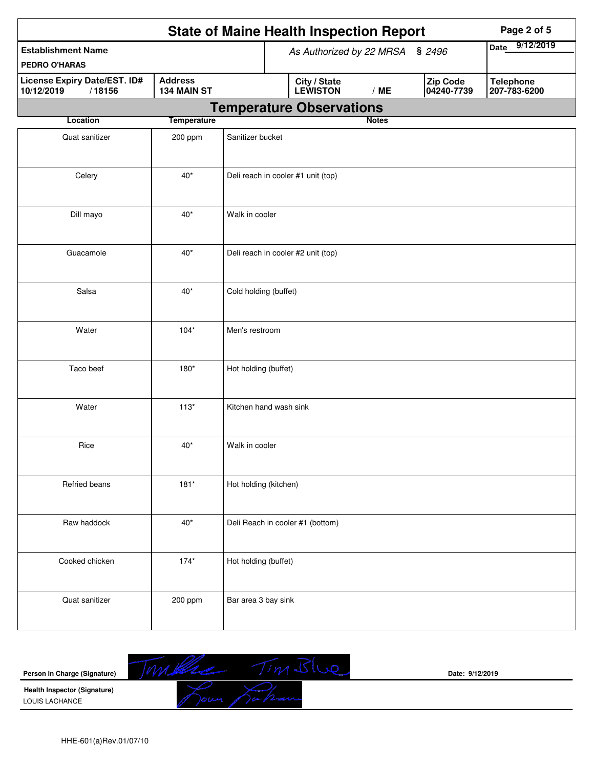|                                                      |                               |                        | <b>State of Maine Health Inspection Report</b> | Page 2 of 5  |                        |                                  |
|------------------------------------------------------|-------------------------------|------------------------|------------------------------------------------|--------------|------------------------|----------------------------------|
| <b>Establishment Name</b><br>PEDRO O'HARAS           |                               |                        | As Authorized by 22 MRSA § 2496                |              |                        | 9/12/2019<br><b>Date</b>         |
| License Expiry Date/EST. ID#<br>10/12/2019<br>/18156 | <b>Address</b><br>134 MAIN ST |                        | City / State<br>LEWISTON                       | /ME          | Zip Code<br>04240-7739 | <b>Telephone</b><br>207-783-6200 |
|                                                      |                               |                        | <b>Temperature Observations</b>                |              |                        |                                  |
| Location                                             | <b>Temperature</b>            |                        |                                                | <b>Notes</b> |                        |                                  |
| Quat sanitizer                                       | 200 ppm                       | Sanitizer bucket       |                                                |              |                        |                                  |
| Celery                                               | $40*$                         |                        | Deli reach in cooler #1 unit (top)             |              |                        |                                  |
| Dill mayo                                            | $40*$                         | Walk in cooler         |                                                |              |                        |                                  |
| Guacamole                                            | $40*$                         |                        | Deli reach in cooler #2 unit (top)             |              |                        |                                  |
| Salsa                                                | $40*$                         | Cold holding (buffet)  |                                                |              |                        |                                  |
| Water                                                | $104*$                        | Men's restroom         |                                                |              |                        |                                  |
| Taco beef                                            | $180*$                        | Hot holding (buffet)   |                                                |              |                        |                                  |
| Water                                                | $113*$                        | Kitchen hand wash sink |                                                |              |                        |                                  |
| Rice                                                 | $40*$                         | Walk in cooler         |                                                |              |                        |                                  |
| Refried beans                                        | $181*$                        | Hot holding (kitchen)  |                                                |              |                        |                                  |
| Raw haddock                                          | $40^*$                        |                        | Deli Reach in cooler #1 (bottom)               |              |                        |                                  |
| Cooked chicken                                       | $174*$                        | Hot holding (buffet)   |                                                |              |                        |                                  |
| Quat sanitizer                                       | 200 ppm                       | Bar area 3 bay sink    |                                                |              |                        |                                  |

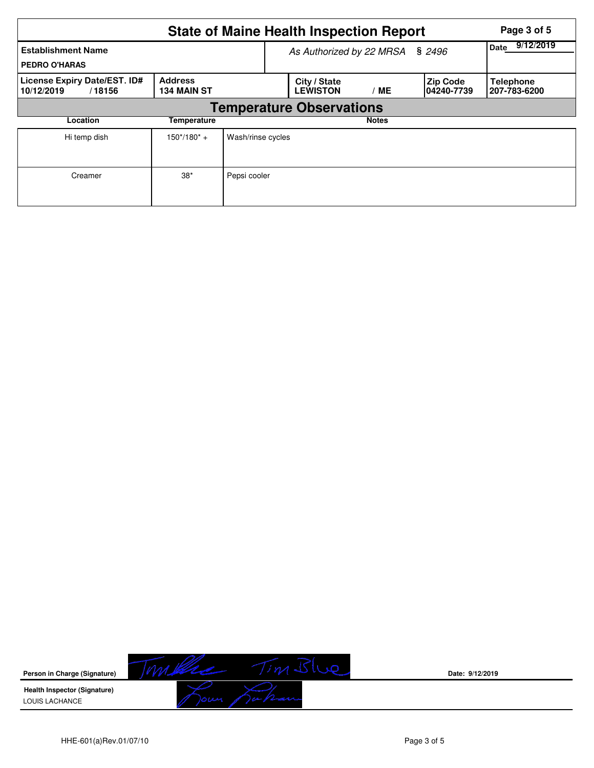|                                                      |                                      | <b>State of Maine Health Inspection Report</b> |                                 | Page 3 of 5  |                                |                                  |
|------------------------------------------------------|--------------------------------------|------------------------------------------------|---------------------------------|--------------|--------------------------------|----------------------------------|
| <b>Establishment Name</b><br><b>PEDRO O'HARAS</b>    |                                      | As Authorized by 22 MRSA § 2496                | 9/12/2019<br>Date               |              |                                |                                  |
| License Expiry Date/EST. ID#<br>10/12/2019<br>/18156 | <b>Address</b><br><b>134 MAIN ST</b> |                                                | City / State<br><b>LEWISTON</b> | МE           | <b>Zip Code</b><br>104240-7739 | <b>Telephone</b><br>207-783-6200 |
|                                                      |                                      | <b>Temperature Observations</b>                |                                 |              |                                |                                  |
| Location                                             | Temperature                          |                                                |                                 | <b>Notes</b> |                                |                                  |
| Hi temp dish                                         | $150*/180* +$                        | Wash/rinse cycles                              |                                 |              |                                |                                  |
| Creamer                                              | $38*$                                | Pepsi cooler                                   |                                 |              |                                |                                  |



**Date: 9/12/2019**

LOUIS LACHANCE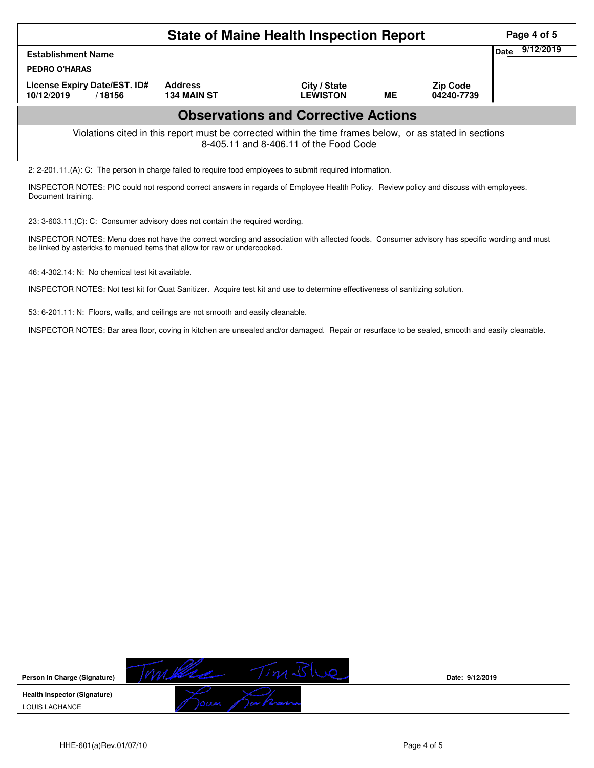| <b>State of Maine Health Inspection Report</b>                                                                                                     |                                      |                                 |           |                               |  |  |  |  |  |  |
|----------------------------------------------------------------------------------------------------------------------------------------------------|--------------------------------------|---------------------------------|-----------|-------------------------------|--|--|--|--|--|--|
| Date<br><b>Establishment Name</b><br><b>PEDRO O'HARAS</b>                                                                                          |                                      |                                 |           |                               |  |  |  |  |  |  |
| License Expiry Date/EST. ID#<br>10/12/2019<br>/18156                                                                                               | <b>Address</b><br><b>134 MAIN ST</b> | City / State<br><b>LEWISTON</b> | <b>ME</b> | <b>Zip Code</b><br>04240-7739 |  |  |  |  |  |  |
| <b>Observations and Corrective Actions</b>                                                                                                         |                                      |                                 |           |                               |  |  |  |  |  |  |
| Violations cited in this report must be corrected within the time frames below, or as stated in sections<br>8-405.11 and 8-406.11 of the Food Code |                                      |                                 |           |                               |  |  |  |  |  |  |
| 2: 2-201.11.(A): C: The person in charge failed to require food employees to submit required information.                                          |                                      |                                 |           |                               |  |  |  |  |  |  |

INSPECTOR NOTES: PIC could not respond correct answers in regards of Employee Health Policy. Review policy and discuss with employees. Document training.

23: 3-603.11.(C): C: Consumer advisory does not contain the required wording.

INSPECTOR NOTES: Menu does not have the correct wording and association with affected foods. Consumer advisory has specific wording and must be linked by astericks to menued items that allow for raw or undercooked.

46: 4-302.14: N: No chemical test kit available.

INSPECTOR NOTES: Not test kit for Quat Sanitizer. Acquire test kit and use to determine effectiveness of sanitizing solution.

53: 6-201.11: N: Floors, walls, and ceilings are not smooth and easily cleanable.

INSPECTOR NOTES: Bar area floor, coving in kitchen are unsealed and/or damaged. Repair or resurface to be sealed, smooth and easily cleanable.